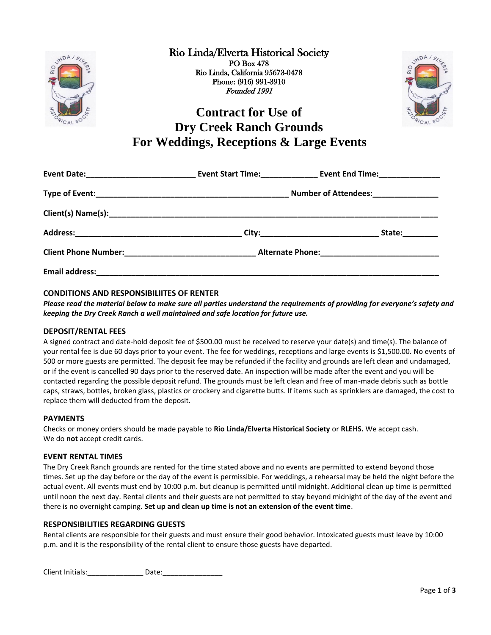

Rio Linda/Elverta Historical Society PO Box 478 Rio Linda, California 95673-0478 Phone: (916) 991-3910 Founded 1991



# **Contract for Use of Dry Creek Ranch Grounds For Weddings, Receptions & Large Events**

| Number of Attendees:_______________ |        |
|-------------------------------------|--------|
|                                     |        |
|                                     | State: |
|                                     |        |
|                                     |        |

## **CONDITIONS AND RESPONSIBILIITES OF RENTER**

*Please read the material below to make sure all parties understand the requirements of providing for everyone's safety and keeping the Dry Creek Ranch a well maintained and safe location for future use.*

## **DEPOSIT/RENTAL FEES**

A signed contract and date-hold deposit fee of \$500.00 must be received to reserve your date(s) and time(s). The balance of your rental fee is due 60 days prior to your event. The fee for weddings, receptions and large events is \$1,500.00. No events of 500 or more guests are permitted. The deposit fee may be refunded if the facility and grounds are left clean and undamaged, or if the event is cancelled 90 days prior to the reserved date. An inspection will be made after the event and you will be contacted regarding the possible deposit refund. The grounds must be left clean and free of man-made debris such as bottle caps, straws, bottles, broken glass, plastics or crockery and cigarette butts. If items such as sprinklers are damaged, the cost to replace them will deducted from the deposit.

## **PAYMENTS**

Checks or money orders should be made payable to **Rio Linda/Elverta Historical Society** or **RLEHS.** We accept cash. We do **not** accept credit cards.

## **EVENT RENTAL TIMES**

The Dry Creek Ranch grounds are rented for the time stated above and no events are permitted to extend beyond those times. Set up the day before or the day of the event is permissible. For weddings, a rehearsal may be held the night before the actual event. All events must end by 10:00 p.m. but cleanup is permitted until midnight. Additional clean up time is permitted until noon the next day. Rental clients and their guests are not permitted to stay beyond midnight of the day of the event and there is no overnight camping. **Set up and clean up time is not an extension of the event time**.

## **RESPONSIBILITIES REGARDING GUESTS**

Rental clients are responsible for their guests and must ensure their good behavior. Intoxicated guests must leave by 10:00 p.m. and it is the responsibility of the rental client to ensure those guests have departed.

Client Initials: Late: Date: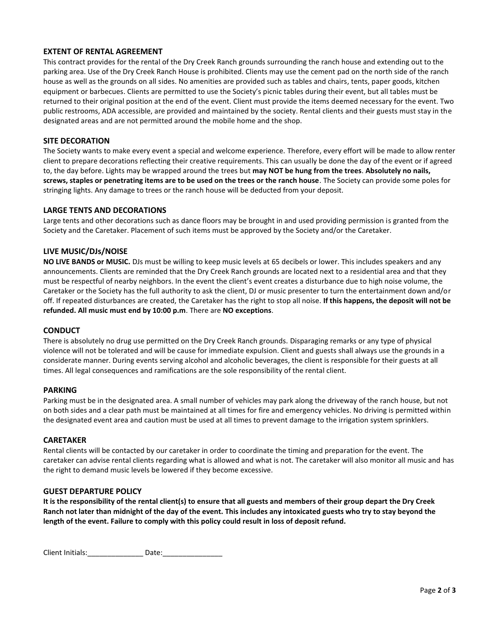## **EXTENT OF RENTAL AGREEMENT**

This contract provides for the rental of the Dry Creek Ranch grounds surrounding the ranch house and extending out to the parking area. Use of the Dry Creek Ranch House is prohibited. Clients may use the cement pad on the north side of the ranch house as well as the grounds on all sides. No amenities are provided such as tables and chairs, tents, paper goods, kitchen equipment or barbecues. Clients are permitted to use the Society's picnic tables during their event, but all tables must be returned to their original position at the end of the event. Client must provide the items deemed necessary for the event. Two public restrooms, ADA accessible, are provided and maintained by the society. Rental clients and their guests must stay in the designated areas and are not permitted around the mobile home and the shop.

## **SITE DECORATION**

The Society wants to make every event a special and welcome experience. Therefore, every effort will be made to allow renter client to prepare decorations reflecting their creative requirements. This can usually be done the day of the event or if agreed to, the day before. Lights may be wrapped around the trees but **may NOT be hung from the trees**. **Absolutely no nails, screws, staples or penetrating items are to be used on the trees or the ranch house**. The Society can provide some poles for stringing lights. Any damage to trees or the ranch house will be deducted from your deposit.

#### **LARGE TENTS AND DECORATIONS**

Large tents and other decorations such as dance floors may be brought in and used providing permission is granted from the Society and the Caretaker. Placement of such items must be approved by the Society and/or the Caretaker.

#### **LIVE MUSIC/DJs/NOISE**

**NO LIVE BANDS or MUSIC.** DJs must be willing to keep music levels at 65 decibels or lower. This includes speakers and any announcements. Clients are reminded that the Dry Creek Ranch grounds are located next to a residential area and that they must be respectful of nearby neighbors. In the event the client's event creates a disturbance due to high noise volume, the Caretaker or the Society has the full authority to ask the client, DJ or music presenter to turn the entertainment down and/or off. If repeated disturbances are created, the Caretaker has the right to stop all noise. **If this happens, the deposit will not be refunded. All music must end by 10:00 p.m**. There are **NO exceptions**.

#### **CONDUCT**

There is absolutely no drug use permitted on the Dry Creek Ranch grounds. Disparaging remarks or any type of physical violence will not be tolerated and will be cause for immediate expulsion. Client and guests shall always use the grounds in a considerate manner. During events serving alcohol and alcoholic beverages, the client is responsible for their guests at all times. All legal consequences and ramifications are the sole responsibility of the rental client.

#### **PARKING**

Parking must be in the designated area. A small number of vehicles may park along the driveway of the ranch house, but not on both sides and a clear path must be maintained at all times for fire and emergency vehicles. No driving is permitted within the designated event area and caution must be used at all times to prevent damage to the irrigation system sprinklers.

#### **CARETAKER**

Rental clients will be contacted by our caretaker in order to coordinate the timing and preparation for the event. The caretaker can advise rental clients regarding what is allowed and what is not. The caretaker will also monitor all music and has the right to demand music levels be lowered if they become excessive.

#### **GUEST DEPARTURE POLICY**

**It is the responsibility of the rental client(s) to ensure that all guests and members of their group depart the Dry Creek Ranch not later than midnight of the day of the event. This includes any intoxicated guests who try to stay beyond the length of the event. Failure to comply with this policy could result in loss of deposit refund.**